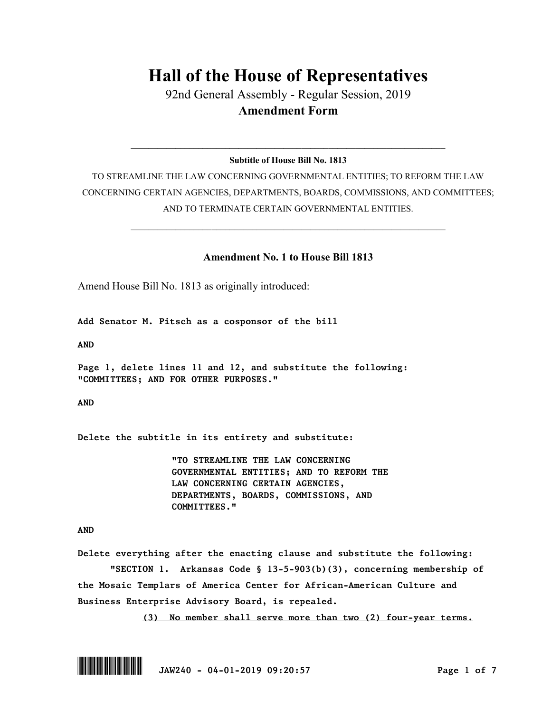## **Hall of the House of Representatives**

92nd General Assembly - Regular Session, 2019 **Amendment Form**

 $\_$  , and the set of the set of the set of the set of the set of the set of the set of the set of the set of the set of the set of the set of the set of the set of the set of the set of the set of the set of the set of th **Subtitle of House Bill No. 1813**

TO STREAMLINE THE LAW CONCERNING GOVERNMENTAL ENTITIES; TO REFORM THE LAW CONCERNING CERTAIN AGENCIES, DEPARTMENTS, BOARDS, COMMISSIONS, AND COMMITTEES; AND TO TERMINATE CERTAIN GOVERNMENTAL ENTITIES.

 $\_$  , and the set of the set of the set of the set of the set of the set of the set of the set of the set of the set of the set of the set of the set of the set of the set of the set of the set of the set of the set of th

## **Amendment No. 1 to House Bill 1813**

Amend House Bill No. 1813 as originally introduced:

*Add Senator M. Pitsch as a cosponsor of the bill*

*AND*

*Page 1, delete lines 11 and 12, and substitute the following: "COMMITTEES; AND FOR OTHER PURPOSES."*

*AND*

*Delete the subtitle in its entirety and substitute:* 

*"TO STREAMLINE THE LAW CONCERNING GOVERNMENTAL ENTITIES; AND TO REFORM THE LAW CONCERNING CERTAIN AGENCIES, DEPARTMENTS, BOARDS, COMMISSIONS, AND COMMITTEES."*

## *AND*

*Delete everything after the enacting clause and substitute the following: "SECTION 1. Arkansas Code § 13-5-903(b)(3), concerning membership of the Mosaic Templars of America Center for African-American Culture and Business Enterprise Advisory Board, is repealed.*

*(3) No member shall serve more than two (2) four-year terms.*

\*.JAW240\* *JAW240 - 04-01-2019 09:20:57 Page 1 of 7*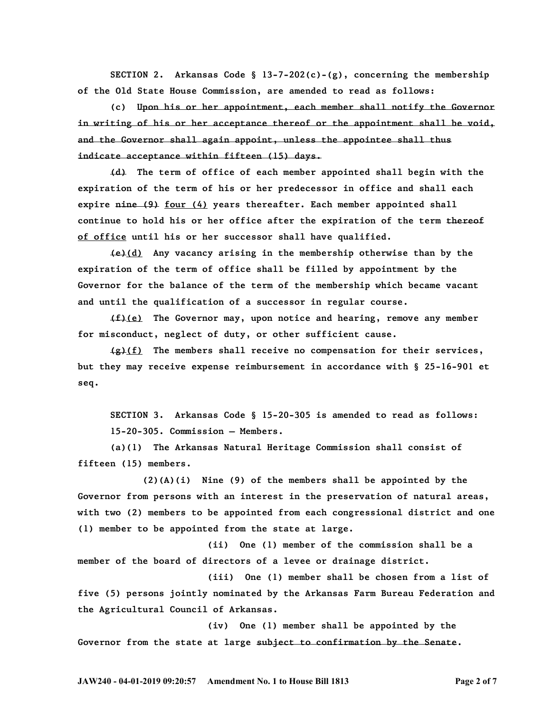*SECTION 2. Arkansas Code § 13-7-202(c)-(g), concerning the membership of the Old State House Commission, are amended to read as follows:*

*(c) Upon his or her appointment, each member shall notify the Governor in writing of his or her acceptance thereof or the appointment shall be void, and the Governor shall again appoint, unless the appointee shall thus indicate acceptance within fifteen (15) days.*

*(d) The term of office of each member appointed shall begin with the expiration of the term of his or her predecessor in office and shall each expire nine (9) four (4) years thereafter. Each member appointed shall continue to hold his or her office after the expiration of the term thereof of office until his or her successor shall have qualified.*

*(e)(d) Any vacancy arising in the membership otherwise than by the expiration of the term of office shall be filled by appointment by the Governor for the balance of the term of the membership which became vacant and until the qualification of a successor in regular course.*

*(f)(e) The Governor may, upon notice and hearing, remove any member for misconduct, neglect of duty, or other sufficient cause.*

*(g)(f) The members shall receive no compensation for their services, but they may receive expense reimbursement in accordance with § 25-16-901 et seq.*

*SECTION 3. Arkansas Code § 15-20-305 is amended to read as follows: 15-20-305. Commission — Members.*

*(a)(1) The Arkansas Natural Heritage Commission shall consist of fifteen (15) members.*

*(2)(A)(i) Nine (9) of the members shall be appointed by the Governor from persons with an interest in the preservation of natural areas, with two (2) members to be appointed from each congressional district and one (1) member to be appointed from the state at large.*

*(ii) One (1) member of the commission shall be a member of the board of directors of a levee or drainage district.*

*(iii) One (1) member shall be chosen from a list of five (5) persons jointly nominated by the Arkansas Farm Bureau Federation and the Agricultural Council of Arkansas.*

*(iv) One (1) member shall be appointed by the Governor from the state at large subject to confirmation by the Senate.*

**JAW240 - 04-01-2019 09:20:57 Amendment No. 1 to House Bill 1813 Page 2 of 7**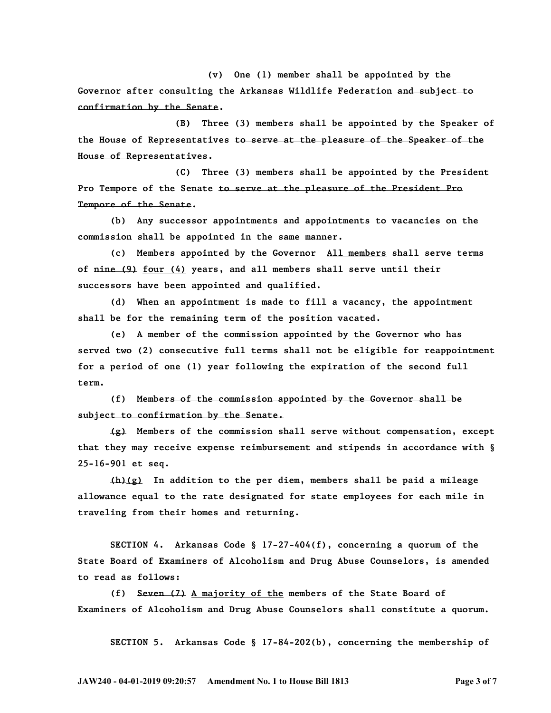*(v) One (1) member shall be appointed by the Governor after consulting the Arkansas Wildlife Federation and subject to confirmation by the Senate.*

*(B) Three (3) members shall be appointed by the Speaker of the House of Representatives to serve at the pleasure of the Speaker of the House of Representatives.*

*(C) Three (3) members shall be appointed by the President Pro Tempore of the Senate to serve at the pleasure of the President Pro Tempore of the Senate.*

*(b) Any successor appointments and appointments to vacancies on the commission shall be appointed in the same manner.*

*(c) Members appointed by the Governor All members shall serve terms of nine (9) four (4) years, and all members shall serve until their successors have been appointed and qualified.*

*(d) When an appointment is made to fill a vacancy, the appointment shall be for the remaining term of the position vacated.*

*(e) A member of the commission appointed by the Governor who has served two (2) consecutive full terms shall not be eligible for reappointment for a period of one (1) year following the expiration of the second full term.*

*(f) Members of the commission appointed by the Governor shall be subject to confirmation by the Senate.*

*(g) Members of the commission shall serve without compensation, except that they may receive expense reimbursement and stipends in accordance with § 25-16-901 et seq.*

*(h)(g) In addition to the per diem, members shall be paid a mileage allowance equal to the rate designated for state employees for each mile in traveling from their homes and returning.*

*SECTION 4. Arkansas Code § 17-27-404(f), concerning a quorum of the State Board of Examiners of Alcoholism and Drug Abuse Counselors, is amended to read as follows:*

*(f) Seven (7) A majority of the members of the State Board of Examiners of Alcoholism and Drug Abuse Counselors shall constitute a quorum.*

*SECTION 5. Arkansas Code § 17-84-202(b), concerning the membership of* 

**JAW240 - 04-01-2019 09:20:57 Amendment No. 1 to House Bill 1813 Page 3 of 7**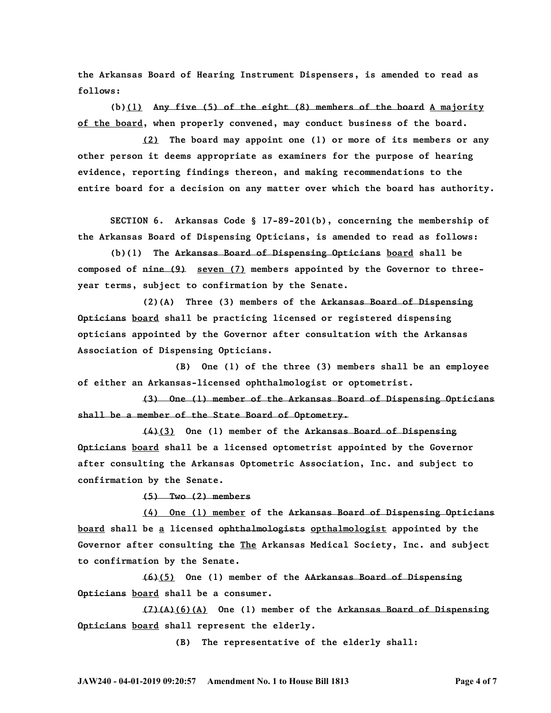*the Arkansas Board of Hearing Instrument Dispensers, is amended to read as follows:*

*(b)(1) Any five (5) of the eight (8) members of the board A majority of the board, when properly convened, may conduct business of the board.* 

*(2) The board may appoint one (1) or more of its members or any other person it deems appropriate as examiners for the purpose of hearing evidence, reporting findings thereon, and making recommendations to the entire board for a decision on any matter over which the board has authority.*

*SECTION 6. Arkansas Code § 17-89-201(b), concerning the membership of the Arkansas Board of Dispensing Opticians, is amended to read as follows:*

*(b)(1) The Arkansas Board of Dispensing Opticians board shall be composed of nine (9) seven (7) members appointed by the Governor to threeyear terms, subject to confirmation by the Senate.*

*(2)(A) Three (3) members of the Arkansas Board of Dispensing Opticians board shall be practicing licensed or registered dispensing opticians appointed by the Governor after consultation with the Arkansas Association of Dispensing Opticians.*

*(B) One (1) of the three (3) members shall be an employee of either an Arkansas-licensed ophthalmologist or optometrist.*

*(3) One (1) member of the Arkansas Board of Dispensing Opticians shall be a member of the State Board of Optometry.*

*(4)(3) One (1) member of the Arkansas Board of Dispensing Opticians board shall be a licensed optometrist appointed by the Governor after consulting the Arkansas Optometric Association, Inc. and subject to confirmation by the Senate.*

*(5) Two (2) members*

*(4) One (1) member of the Arkansas Board of Dispensing Opticians board shall be a licensed ophthalmologists opthalmologist appointed by the Governor after consulting the The Arkansas Medical Society, Inc. and subject to confirmation by the Senate.*

*(6)(5) One (1) member of the AArkansas Board of Dispensing Opticians board shall be a consumer.*

*(7)(A)(6)(A) One (1) member of the Arkansas Board of Dispensing Opticians board shall represent the elderly.*

*(B) The representative of the elderly shall:*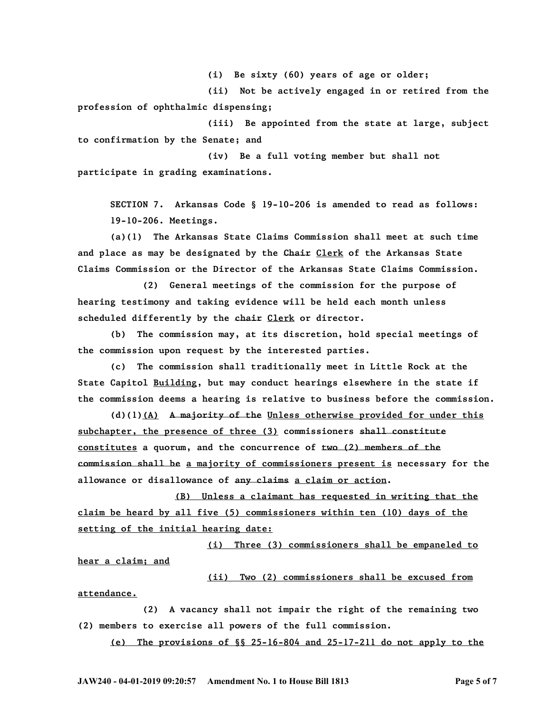*(i) Be sixty (60) years of age or older;*

*(ii) Not be actively engaged in or retired from the profession of ophthalmic dispensing;*

*(iii) Be appointed from the state at large, subject to confirmation by the Senate; and*

*(iv) Be a full voting member but shall not participate in grading examinations.*

*SECTION 7. Arkansas Code § 19-10-206 is amended to read as follows: 19-10-206. Meetings.*

*(a)(1) The Arkansas State Claims Commission shall meet at such time and place as may be designated by the Chair Clerk of the Arkansas State Claims Commission or the Director of the Arkansas State Claims Commission.*

*(2) General meetings of the commission for the purpose of hearing testimony and taking evidence will be held each month unless scheduled differently by the chair Clerk or director.*

*(b) The commission may, at its discretion, hold special meetings of the commission upon request by the interested parties.*

*(c) The commission shall traditionally meet in Little Rock at the State Capitol Building, but may conduct hearings elsewhere in the state if the commission deems a hearing is relative to business before the commission.*

*(d)(1)(A) A majority of the Unless otherwise provided for under this subchapter, the presence of three (3) commissioners shall constitute constitutes a quorum, and the concurrence of two (2) members of the commission shall be a majority of commissioners present is necessary for the allowance or disallowance of any claims a claim or action.*

*(B) Unless a claimant has requested in writing that the claim be heard by all five (5) commissioners within ten (10) days of the setting of the initial hearing date:*

*(i) Three (3) commissioners shall be empaneled to hear a claim; and*

*(ii) Two (2) commissioners shall be excused from attendance.*

*(2) A vacancy shall not impair the right of the remaining two (2) members to exercise all powers of the full commission.*

*(e) The provisions of §§ 25-16-804 and 25-17-211 do not apply to the*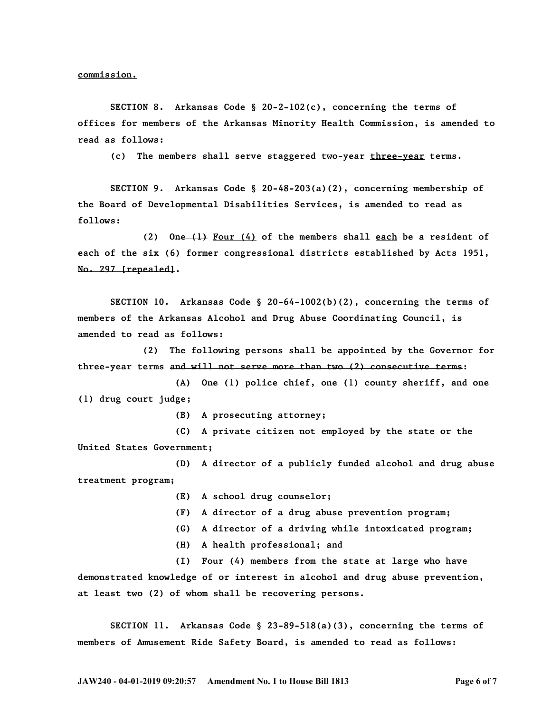*commission.*

*SECTION 8. Arkansas Code § 20-2-102(c), concerning the terms of offices for members of the Arkansas Minority Health Commission, is amended to read as follows:*

*(c) The members shall serve staggered two-year three-year terms.*

*SECTION 9. Arkansas Code § 20-48-203(a)(2), concerning membership of the Board of Developmental Disabilities Services, is amended to read as follows:*

*(2) One (1) Four (4) of the members shall each be a resident of each of the six (6) former congressional districts established by Acts 1951, No. 297 [repealed].*

*SECTION 10. Arkansas Code § 20-64-1002(b)(2), concerning the terms of members of the Arkansas Alcohol and Drug Abuse Coordinating Council, is amended to read as follows:*

*(2) The following persons shall be appointed by the Governor for three-year terms and will not serve more than two (2) consecutive terms:*

*(A) One (1) police chief, one (1) county sheriff, and one (1) drug court judge;*

*(B) A prosecuting attorney;*

*(C) A private citizen not employed by the state or the United States Government;*

*(D) A director of a publicly funded alcohol and drug abuse treatment program;*

*(E) A school drug counselor;*

- *(F) A director of a drug abuse prevention program;*
- *(G) A director of a driving while intoxicated program;*
- *(H) A health professional; and*

*(I) Four (4) members from the state at large who have demonstrated knowledge of or interest in alcohol and drug abuse prevention, at least two (2) of whom shall be recovering persons.*

*SECTION 11. Arkansas Code § 23-89-518(a)(3), concerning the terms of members of Amusement Ride Safety Board, is amended to read as follows:*